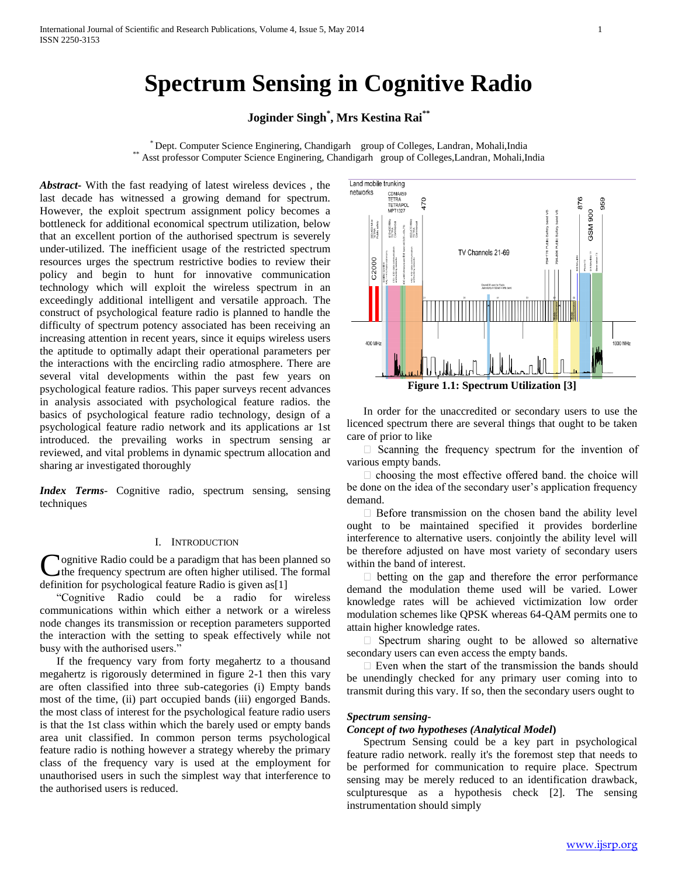# **Spectrum Sensing in Cognitive Radio**

# **Joginder Singh\* , Mrs Kestina Rai\*\***

\* Dept. Computer Science Enginering, Chandigarh group of Colleges, Landran, Mohali,India \*\* Asst professor Computer Science Enginering, Chandigarh group of Colleges, Landran, Mohali, India

*Abstract***-** With the fast readying of latest wireless devices , the last decade has witnessed a growing demand for spectrum. However, the exploit spectrum assignment policy becomes a bottleneck for additional economical spectrum utilization, below that an excellent portion of the authorised spectrum is severely under-utilized. The inefficient usage of the restricted spectrum resources urges the spectrum restrictive bodies to review their policy and begin to hunt for innovative communication technology which will exploit the wireless spectrum in an exceedingly additional intelligent and versatile approach. The construct of psychological feature radio is planned to handle the difficulty of spectrum potency associated has been receiving an increasing attention in recent years, since it equips wireless users the aptitude to optimally adapt their operational parameters per the interactions with the encircling radio atmosphere. There are several vital developments within the past few years on psychological feature radios. This paper surveys recent advances in analysis associated with psychological feature radios. the basics of psychological feature radio technology, design of a psychological feature radio network and its applications ar 1st introduced. the prevailing works in spectrum sensing ar reviewed, and vital problems in dynamic spectrum allocation and sharing ar investigated thoroughly

*Index Terms*- Cognitive radio, spectrum sensing, sensing techniques

# I. INTRODUCTION

**Nognitive Radio could be a paradigm that has been planned so** the frequency spectrum are often higher utilised. The formal Cognitive Radio could be a paradigm that has been pl<br>the frequency spectrum are often higher utilised. The<br>definition for psychological feature Radio is given as[1]

 "Cognitive Radio could be a radio for wireless communications within which either a network or a wireless node changes its transmission or reception parameters supported the interaction with the setting to speak effectively while not busy with the authorised users.'

 If the frequency vary from forty megahertz to a thousand megahertz is rigorously determined in figure 2-1 then this vary are often classified into three sub-categories (i) Empty bands most of the time, (ii) part occupied bands (iii) engorged Bands. the most class of interest for the psychological feature radio users is that the 1st class within which the barely used or empty bands area unit classified. In common person terms psychological feature radio is nothing however a strategy whereby the primary class of the frequency vary is used at the employment for unauthorised users in such the simplest way that interference to the authorised users is reduced.



 In order for the unaccredited or secondary users to use the licenced spectrum there are several things that ought to be taken care of prior to like

 $\Box$  Scanning the frequency spectrum for the invention of various empty bands.

 $\Box$  choosing the most effective offered band. the choice will be done on the idea of the secondary user's application frequency demand.

 $\Box$  Before transmission on the chosen band the ability level ought to be maintained specified it provides borderline interference to alternative users. conjointly the ability level will be therefore adjusted on have most variety of secondary users within the band of interest.

 $\Box$  betting on the gap and therefore the error performance demand the modulation theme used will be varied. Lower knowledge rates will be achieved victimization low order modulation schemes like QPSK whereas 64-QAM permits one to attain higher knowledge rates.

 $\Box$  Spectrum sharing ought to be allowed so alternative secondary users can even access the empty bands.

 $\Box$  Even when the start of the transmission the bands should be unendingly checked for any primary user coming into to transmit during this vary. If so, then the secondary users ought to

# *Spectrum sensing***-**

#### *Concept of two hypotheses (Analytical Model***)**

 Spectrum Sensing could be a key part in psychological feature radio network. really it's the foremost step that needs to be performed for communication to require place. Spectrum sensing may be merely reduced to an identification drawback, sculpturesque as a hypothesis check [2]. The sensing instrumentation should simply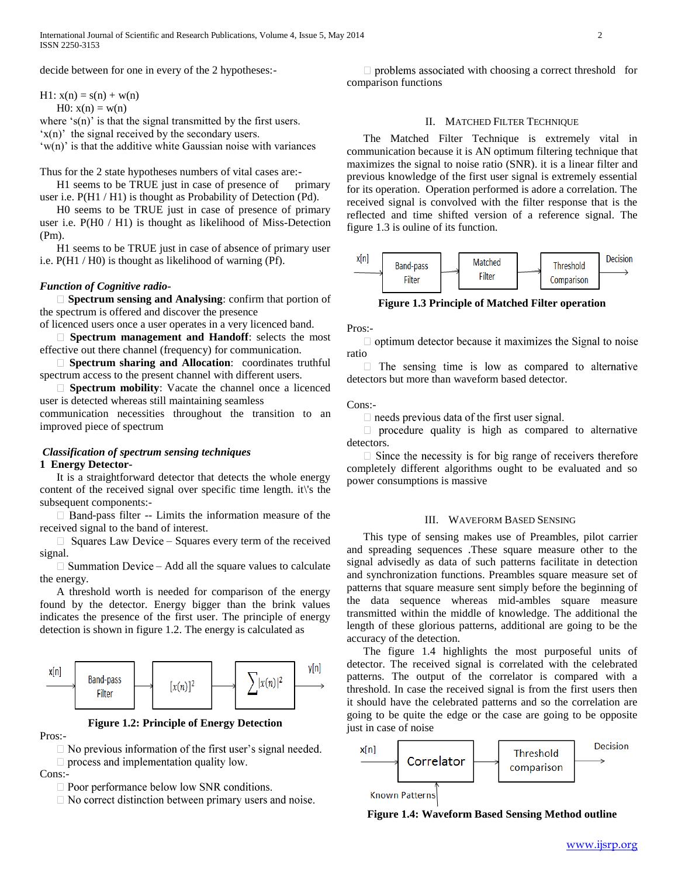decide between for one in every of the 2 hypotheses:-

H1:  $x(n) = s(n) + w(n)$ 

H0:  $x(n) = w(n)$ 

where 's(n)' is that the signal transmitted by the first users.

'x(n)' the signal received by the secondary users.

 $(w(n))$  is that the additive white Gaussian noise with variances

Thus for the 2 state hypotheses numbers of vital cases are:-

H1 seems to be TRUE just in case of presence of primary user i.e. P(H1 / H1) is thought as Probability of Detection (Pd).

 H0 seems to be TRUE just in case of presence of primary user i.e. P(H0 / H1) is thought as likelihood of Miss-Detection (Pm).

 H1 seems to be TRUE just in case of absence of primary user i.e. P(H1 / H0) is thought as likelihood of warning (Pf).

#### *Function of Cognitive radio-*

 **Spectrum sensing and Analysing**: confirm that portion of the spectrum is offered and discover the presence

of licenced users once a user operates in a very licenced band.

 **Spectrum management and Handoff**: selects the most effective out there channel (frequency) for communication.

 **Spectrum sharing and Allocation**: coordinates truthful spectrum access to the present channel with different users.

 **Spectrum mobility**: Vacate the channel once a licenced user is detected whereas still maintaining seamless communication necessities throughout the transition to an improved piece of spectrum

# *Classification of spectrum sensing techniques* **1 Energy Detector-**

 It is a straightforward detector that detects the whole energy content of the received signal over specific time length. it\'s the subsequent components:-

 $\Box$  Band-pass filter -- Limits the information measure of the received signal to the band of interest.

 $\Box$  Squares Law Device – Squares every term of the received signal.

 $\Box$  Summation Device – Add all the square values to calculate the energy.

 A threshold worth is needed for comparison of the energy found by the detector. Energy bigger than the brink values indicates the presence of the first user. The principle of energy detection is shown in figure 1.2. The energy is calculated as



#### **Figure 1.2: Principle of Energy Detection**

Pros:-

 $\Box$  No previous information of the first user's signal needed.  $\Box$  process and implementation quality low.

Cons:-

 $\Box$  Poor performance below low SNR conditions.

 $\Box$  No correct distinction between primary users and noise.

 $\Box$  problems associated with choosing a correct threshold for comparison functions

# II. MATCHED FILTER TECHNIQUE

 The Matched Filter Technique is extremely vital in communication because it is AN optimum filtering technique that maximizes the signal to noise ratio (SNR). it is a linear filter and previous knowledge of the first user signal is extremely essential for its operation. Operation performed is adore a correlation. The received signal is convolved with the filter response that is the reflected and time shifted version of a reference signal. The figure 1.3 is ouline of its function.



**Figure 1.3 Principle of Matched Filter operation**

Pros:-

 $\Box$  optimum detector because it maximizes the Signal to noise ratio

 $\Box$  The sensing time is low as compared to alternative detectors but more than waveform based detector.

#### Cons:-

 $\Box$  needs previous data of the first user signal.

 $\Box$  procedure quality is high as compared to alternative detectors.

 $\Box$  Since the necessity is for big range of receivers therefore completely different algorithms ought to be evaluated and so power consumptions is massive

#### III. WAVEFORM BASED SENSING

 This type of sensing makes use of Preambles, pilot carrier and spreading sequences .These square measure other to the signal advisedly as data of such patterns facilitate in detection and synchronization functions. Preambles square measure set of patterns that square measure sent simply before the beginning of the data sequence whereas mid-ambles square measure transmitted within the middle of knowledge. The additional the length of these glorious patterns, additional are going to be the accuracy of the detection.

 The figure 1.4 highlights the most purposeful units of detector. The received signal is correlated with the celebrated patterns. The output of the correlator is compared with a threshold. In case the received signal is from the first users then it should have the celebrated patterns and so the correlation are going to be quite the edge or the case are going to be opposite just in case of noise



#### **Figure 1.4: Waveform Based Sensing Method outline**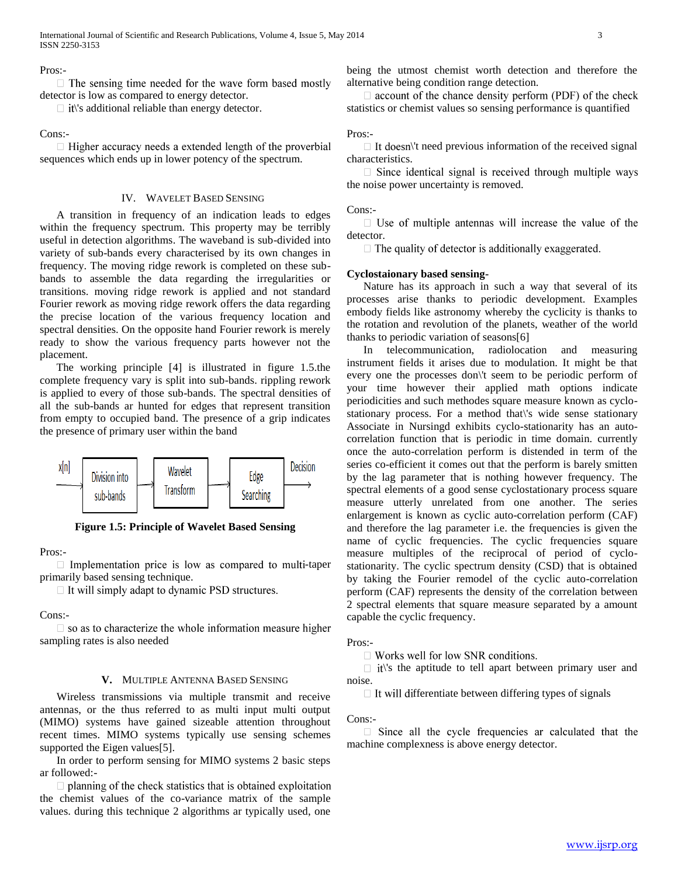Pros:-

 $\Box$  The sensing time needed for the wave form based mostly detector is low as compared to energy detector.

 $\Box$  it\'s additional reliable than energy detector.

#### Cons:-

 $\Box$  Higher accuracy needs a extended length of the proverbial sequences which ends up in lower potency of the spectrum.

# IV. WAVELET BASED SENSING

 A transition in frequency of an indication leads to edges within the frequency spectrum. This property may be terribly useful in detection algorithms. The waveband is sub-divided into variety of sub-bands every characterised by its own changes in frequency. The moving ridge rework is completed on these subbands to assemble the data regarding the irregularities or transitions. moving ridge rework is applied and not standard Fourier rework as moving ridge rework offers the data regarding the precise location of the various frequency location and spectral densities. On the opposite hand Fourier rework is merely ready to show the various frequency parts however not the placement.

 The working principle [4] is illustrated in figure 1.5.the complete frequency vary is split into sub-bands. rippling rework is applied to every of those sub-bands. The spectral densities of all the sub-bands ar hunted for edges that represent transition from empty to occupied band. The presence of a grip indicates the presence of primary user within the band



**Figure 1.5: Principle of Wavelet Based Sensing**

Pros:-

 $\Box$  Implementation price is low as compared to multi-taper primarily based sensing technique.

□ It will simply adapt to dynamic PSD structures.

Cons:-

 $\Box$  so as to characterize the whole information measure higher sampling rates is also needed

#### **V.** MULTIPLE ANTENNA BASED SENSING

 Wireless transmissions via multiple transmit and receive antennas, or the thus referred to as multi input multi output (MIMO) systems have gained sizeable attention throughout recent times. MIMO systems typically use sensing schemes supported the Eigen values[5].

 In order to perform sensing for MIMO systems 2 basic steps ar followed:-

 $\Box$  planning of the check statistics that is obtained exploitation the chemist values of the co-variance matrix of the sample values. during this technique 2 algorithms ar typically used, one being the utmost chemist worth detection and therefore the alternative being condition range detection.

 $\Box$  account of the chance density perform (PDF) of the check statistics or chemist values so sensing performance is quantified

# Pros:-

 $\Box$  It doesn\'t need previous information of the received signal characteristics.

 $\Box$  Since identical signal is received through multiple ways the noise power uncertainty is removed.

#### Cons:-

 $\Box$  Use of multiple antennas will increase the value of the detector.

 $\Box$  The quality of detector is additionally exaggerated.

# **Cyclostaionary based sensing-**

 Nature has its approach in such a way that several of its processes arise thanks to periodic development. Examples embody fields like astronomy whereby the cyclicity is thanks to the rotation and revolution of the planets, weather of the world thanks to periodic variation of seasons[6]

 In telecommunication, radiolocation and measuring instrument fields it arises due to modulation. It might be that every one the processes don\'t seem to be periodic perform of your time however their applied math options indicate periodicities and such methodes square measure known as cyclostationary process. For a method that\'s wide sense stationary Associate in Nursingd exhibits cyclo-stationarity has an autocorrelation function that is periodic in time domain. currently once the auto-correlation perform is distended in term of the series co-efficient it comes out that the perform is barely smitten by the lag parameter that is nothing however frequency. The spectral elements of a good sense cyclostationary process square measure utterly unrelated from one another. The series enlargement is known as cyclic auto-correlation perform (CAF) and therefore the lag parameter i.e. the frequencies is given the name of cyclic frequencies. The cyclic frequencies square measure multiples of the reciprocal of period of cyclostationarity. The cyclic spectrum density (CSD) that is obtained by taking the Fourier remodel of the cyclic auto-correlation perform (CAF) represents the density of the correlation between 2 spectral elements that square measure separated by a amount capable the cyclic frequency.

#### Pros:-

 $\Box$  Works well for low SNR conditions.

 $\Box$  it\'s the aptitude to tell apart between primary user and noise.

 $\Box$  It will differentiate between differing types of signals

#### Cons:-

 $\Box$  Since all the cycle frequencies ar calculated that the machine complexness is above energy detector.